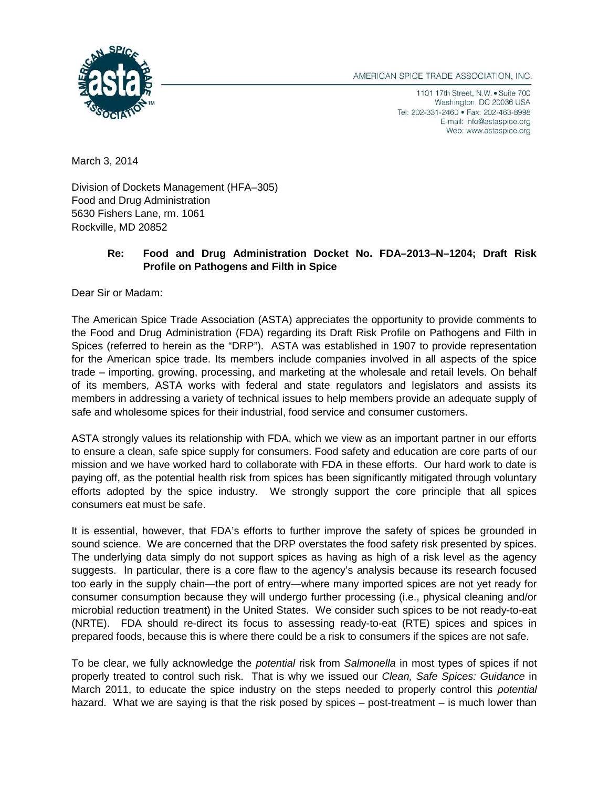AMERICAN SPICE TRADE ASSOCIATION, INC.



1101 17th Street, N.W. . Suite 700 Washington, DC 20036 USA Tel: 202-331-2460 · Fax: 202-463-8998 E-mail: info@astaspice.org Web: www.astaspice.org

March 3, 2014

Division of Dockets Management (HFA–305) Food and Drug Administration 5630 Fishers Lane, rm. 1061 Rockville, MD 20852

## **Re: Food and Drug Administration Docket No. FDA–2013–N–1204; Draft Risk Profile on Pathogens and Filth in Spice**

Dear Sir or Madam:

The American Spice Trade Association (ASTA) appreciates the opportunity to provide comments to the Food and Drug Administration (FDA) regarding its Draft Risk Profile on Pathogens and Filth in Spices (referred to herein as the "DRP"). ASTA was established in 1907 to provide representation for the American spice trade. Its members include companies involved in all aspects of the spice trade – importing, growing, processing, and marketing at the wholesale and retail levels. On behalf of its members, ASTA works with federal and state regulators and legislators and assists its members in addressing a variety of technical issues to help members provide an adequate supply of safe and wholesome spices for their industrial, food service and consumer customers.

ASTA strongly values its relationship with FDA, which we view as an important partner in our efforts to ensure a clean, safe spice supply for consumers. Food safety and education are core parts of our mission and we have worked hard to collaborate with FDA in these efforts. Our hard work to date is paying off, as the potential health risk from spices has been significantly mitigated through voluntary efforts adopted by the spice industry. We strongly support the core principle that all spices consumers eat must be safe.

It is essential, however, that FDA's efforts to further improve the safety of spices be grounded in sound science. We are concerned that the DRP overstates the food safety risk presented by spices. The underlying data simply do not support spices as having as high of a risk level as the agency suggests. In particular, there is a core flaw to the agency's analysis because its research focused too early in the supply chain—the port of entry—where many imported spices are not yet ready for consumer consumption because they will undergo further processing (i.e., physical cleaning and/or microbial reduction treatment) in the United States. We consider such spices to be not ready-to-eat (NRTE). FDA should re-direct its focus to assessing ready-to-eat (RTE) spices and spices in prepared foods, because this is where there could be a risk to consumers if the spices are not safe.

To be clear, we fully acknowledge the *potential* risk from *Salmonella* in most types of spices if not properly treated to control such risk. That is why we issued our *Clean, Safe Spices: Guidance* in March 2011, to educate the spice industry on the steps needed to properly control this *potential* hazard. What we are saying is that the risk posed by spices – post-treatment – is much lower than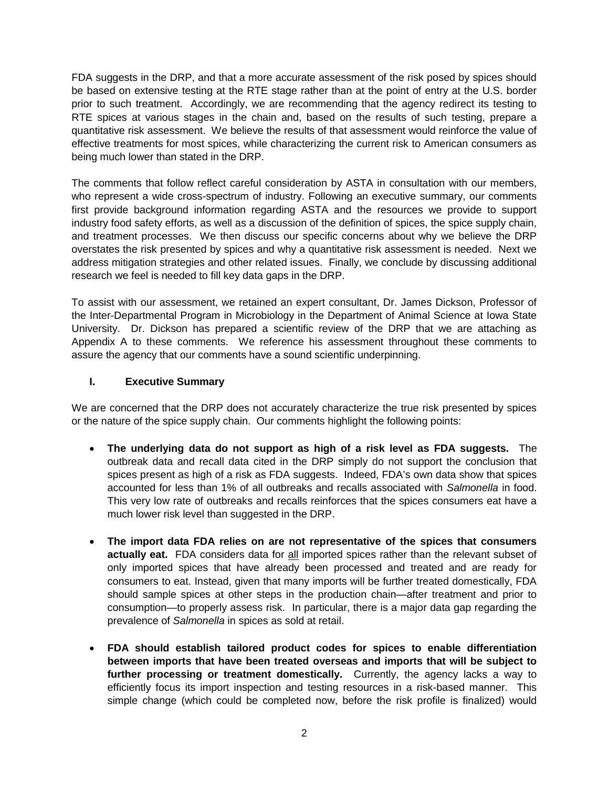FDA suggests in the DRP, and that a more accurate assessment of the risk posed by spices should be based on extensive testing at the RTE stage rather than at the point of entry at the U.S. border prior to such treatment. Accordingly, we are recommending that the agency redirect its testing to RTE spices at various stages in the chain and, based on the results of such testing, prepare a quantitative risk assessment. We believe the results of that assessment would reinforce the value of effective treatments for most spices, while characterizing the current risk to American consumers as being much lower than stated in the DRP.

The comments that follow reflect careful consideration by ASTA in consultation with our members, who represent a wide cross-spectrum of industry. Following an executive summary, our comments first provide background information regarding ASTA and the resources we provide to support industry food safety efforts, as well as a discussion of the definition of spices, the spice supply chain, and treatment processes. We then discuss our specific concerns about why we believe the DRP overstates the risk presented by spices and why a quantitative risk assessment is needed. Next we address mitigation strategies and other related issues. Finally, we conclude by discussing additional research we feel is needed to fill key data gaps in the DRP.

To assist with our assessment, we retained an expert consultant, Dr. James Dickson, Professor of the Inter-Departmental Program in Microbiology in the Department of Animal Science at Iowa State University. Dr. Dickson has prepared a scientific review of the DRP that we are attaching as Appendix A to these comments. We reference his assessment throughout these comments to assure the agency that our comments have a sound scientific underpinning.

#### **I. Executive Summary**

We are concerned that the DRP does not accurately characterize the true risk presented by spices or the nature of the spice supply chain. Our comments highlight the following points:

- **The underlying data do not support as high of a risk level as FDA suggests.** The outbreak data and recall data cited in the DRP simply do not support the conclusion that spices present as high of a risk as FDA suggests. Indeed, FDA's own data show that spices accounted for less than 1% of all outbreaks and recalls associated with *Salmonella* in food. This very low rate of outbreaks and recalls reinforces that the spices consumers eat have a much lower risk level than suggested in the DRP.
- **The import data FDA relies on are not representative of the spices that consumers actually eat.** FDA considers data for all imported spices rather than the relevant subset of only imported spices that have already been processed and treated and are ready for consumers to eat. Instead, given that many imports will be further treated domestically, FDA should sample spices at other steps in the production chain—after treatment and prior to consumption—to properly assess risk. In particular, there is a major data gap regarding the prevalence of *Salmonella* in spices as sold at retail.
- **FDA should establish tailored product codes for spices to enable differentiation between imports that have been treated overseas and imports that will be subject to further processing or treatment domestically.** Currently, the agency lacks a way to efficiently focus its import inspection and testing resources in a risk-based manner. This simple change (which could be completed now, before the risk profile is finalized) would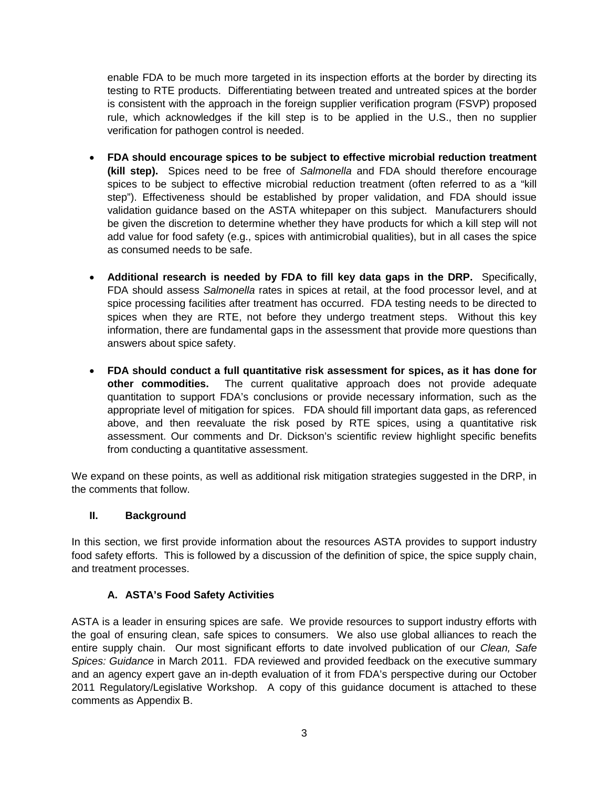enable FDA to be much more targeted in its inspection efforts at the border by directing its testing to RTE products. Differentiating between treated and untreated spices at the border is consistent with the approach in the foreign supplier verification program (FSVP) proposed rule, which acknowledges if the kill step is to be applied in the U.S., then no supplier verification for pathogen control is needed.

- **FDA should encourage spices to be subject to effective microbial reduction treatment (kill step).** Spices need to be free of *Salmonella* and FDA should therefore encourage spices to be subject to effective microbial reduction treatment (often referred to as a "kill step"). Effectiveness should be established by proper validation, and FDA should issue validation guidance based on the ASTA whitepaper on this subject. Manufacturers should be given the discretion to determine whether they have products for which a kill step will not add value for food safety (e.g., spices with antimicrobial qualities), but in all cases the spice as consumed needs to be safe.
- **Additional research is needed by FDA to fill key data gaps in the DRP.** Specifically, FDA should assess *Salmonella* rates in spices at retail, at the food processor level, and at spice processing facilities after treatment has occurred. FDA testing needs to be directed to spices when they are RTE, not before they undergo treatment steps. Without this key information, there are fundamental gaps in the assessment that provide more questions than answers about spice safety.
- **FDA should conduct a full quantitative risk assessment for spices, as it has done for other commodities.** The current qualitative approach does not provide adequate quantitation to support FDA's conclusions or provide necessary information, such as the appropriate level of mitigation for spices. FDA should fill important data gaps, as referenced above, and then reevaluate the risk posed by RTE spices, using a quantitative risk assessment. Our comments and Dr. Dickson's scientific review highlight specific benefits from conducting a quantitative assessment.

We expand on these points, as well as additional risk mitigation strategies suggested in the DRP, in the comments that follow.

### **II. Background**

In this section, we first provide information about the resources ASTA provides to support industry food safety efforts. This is followed by a discussion of the definition of spice, the spice supply chain, and treatment processes.

### **A. ASTA's Food Safety Activities**

ASTA is a leader in ensuring spices are safe. We provide resources to support industry efforts with the goal of ensuring clean, safe spices to consumers. We also use global alliances to reach the entire supply chain. Our most significant efforts to date involved publication of our *Clean, Safe Spices: Guidance* in March 2011. FDA reviewed and provided feedback on the executive summary and an agency expert gave an in-depth evaluation of it from FDA's perspective during our October 2011 Regulatory/Legislative Workshop. A copy of this guidance document is attached to these comments as Appendix B.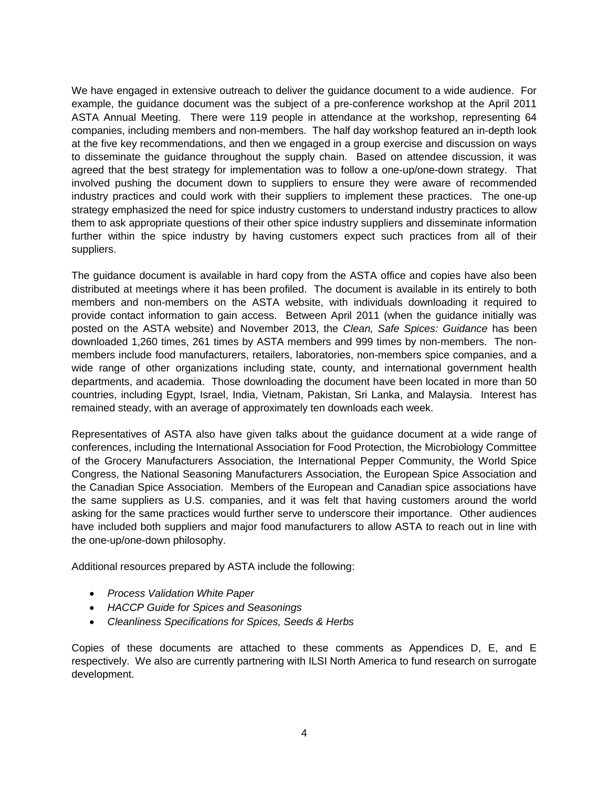We have engaged in extensive outreach to deliver the guidance document to a wide audience. For example, the guidance document was the subject of a pre-conference workshop at the April 2011 ASTA Annual Meeting. There were 119 people in attendance at the workshop, representing 64 companies, including members and non-members. The half day workshop featured an in-depth look at the five key recommendations, and then we engaged in a group exercise and discussion on ways to disseminate the guidance throughout the supply chain. Based on attendee discussion, it was agreed that the best strategy for implementation was to follow a one-up/one-down strategy. That involved pushing the document down to suppliers to ensure they were aware of recommended industry practices and could work with their suppliers to implement these practices. The one-up strategy emphasized the need for spice industry customers to understand industry practices to allow them to ask appropriate questions of their other spice industry suppliers and disseminate information further within the spice industry by having customers expect such practices from all of their suppliers.

The guidance document is available in hard copy from the ASTA office and copies have also been distributed at meetings where it has been profiled. The document is available in its entirely to both members and non-members on the ASTA website, with individuals downloading it required to provide contact information to gain access. Between April 2011 (when the guidance initially was posted on the ASTA website) and November 2013, the *Clean, Safe Spices: Guidance* has been downloaded 1,260 times, 261 times by ASTA members and 999 times by non-members. The nonmembers include food manufacturers, retailers, laboratories, non-members spice companies, and a wide range of other organizations including state, county, and international government health departments, and academia. Those downloading the document have been located in more than 50 countries, including Egypt, Israel, India, Vietnam, Pakistan, Sri Lanka, and Malaysia. Interest has remained steady, with an average of approximately ten downloads each week.

Representatives of ASTA also have given talks about the guidance document at a wide range of conferences, including the International Association for Food Protection, the Microbiology Committee of the Grocery Manufacturers Association, the International Pepper Community, the World Spice Congress, the National Seasoning Manufacturers Association, the European Spice Association and the Canadian Spice Association. Members of the European and Canadian spice associations have the same suppliers as U.S. companies, and it was felt that having customers around the world asking for the same practices would further serve to underscore their importance. Other audiences have included both suppliers and major food manufacturers to allow ASTA to reach out in line with the one-up/one-down philosophy.

Additional resources prepared by ASTA include the following:

- *Process Validation White Paper*
- *HACCP Guide for Spices and Seasonings*
- *Cleanliness Specifications for Spices, Seeds & Herbs*

Copies of these documents are attached to these comments as Appendices D, E, and E respectively. We also are currently partnering with ILSI North America to fund research on surrogate development.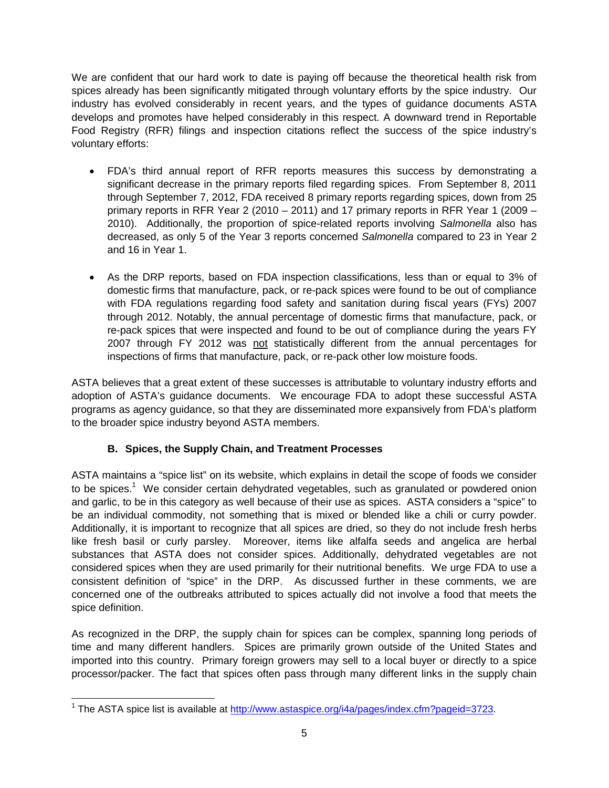We are confident that our hard work to date is paying off because the theoretical health risk from spices already has been significantly mitigated through voluntary efforts by the spice industry. Our industry has evolved considerably in recent years, and the types of guidance documents ASTA develops and promotes have helped considerably in this respect. A downward trend in Reportable Food Registry (RFR) filings and inspection citations reflect the success of the spice industry's voluntary efforts:

- FDA's third annual report of RFR reports measures this success by demonstrating a significant decrease in the primary reports filed regarding spices. From September 8, 2011 through September 7, 2012, FDA received 8 primary reports regarding spices, down from 25 primary reports in RFR Year 2 (2010 – 2011) and 17 primary reports in RFR Year 1 (2009 – 2010). Additionally, the proportion of spice-related reports involving *Salmonella* also has decreased, as only 5 of the Year 3 reports concerned *Salmonella* compared to 23 in Year 2 and 16 in Year 1.
- As the DRP reports, based on FDA inspection classifications, less than or equal to 3% of domestic firms that manufacture, pack, or re-pack spices were found to be out of compliance with FDA regulations regarding food safety and sanitation during fiscal years (FYs) 2007 through 2012. Notably, the annual percentage of domestic firms that manufacture, pack, or re-pack spices that were inspected and found to be out of compliance during the years FY 2007 through FY 2012 was not statistically different from the annual percentages for inspections of firms that manufacture, pack, or re-pack other low moisture foods.

ASTA believes that a great extent of these successes is attributable to voluntary industry efforts and adoption of ASTA's guidance documents. We encourage FDA to adopt these successful ASTA programs as agency guidance, so that they are disseminated more expansively from FDA's platform to the broader spice industry beyond ASTA members.

# **B. Spices, the Supply Chain, and Treatment Processes**

ASTA maintains a "spice list" on its website, which explains in detail the scope of foods we consider to be spices.<sup>1</sup> We consider certain dehydrated vegetables, such as granulated or powdered onion and garlic, to be in this category as well because of their use as spices. ASTA considers a "spice" to be an individual commodity, not something that is mixed or blended like a chili or curry powder. Additionally, it is important to recognize that all spices are dried, so they do not include fresh herbs like fresh basil or curly parsley. Moreover, items like alfalfa seeds and angelica are herbal substances that ASTA does not consider spices. Additionally, dehydrated vegetables are not considered spices when they are used primarily for their nutritional benefits. We urge FDA to use a consistent definition of "spice" in the DRP. As discussed further in these comments, we are concerned one of the outbreaks attributed to spices actually did not involve a food that meets the spice definition.

As recognized in the DRP, the supply chain for spices can be complex, spanning long periods of time and many different handlers. Spices are primarily grown outside of the United States and imported into this country. Primary foreign growers may sell to a local buyer or directly to a spice processor/packer. The fact that spices often pass through many different links in the supply chain

<sup>&</sup>lt;sup>1</sup> The ASTA spice list is available at http://www.astaspice.org/i4a/pages/index.cfm?pageid=3723.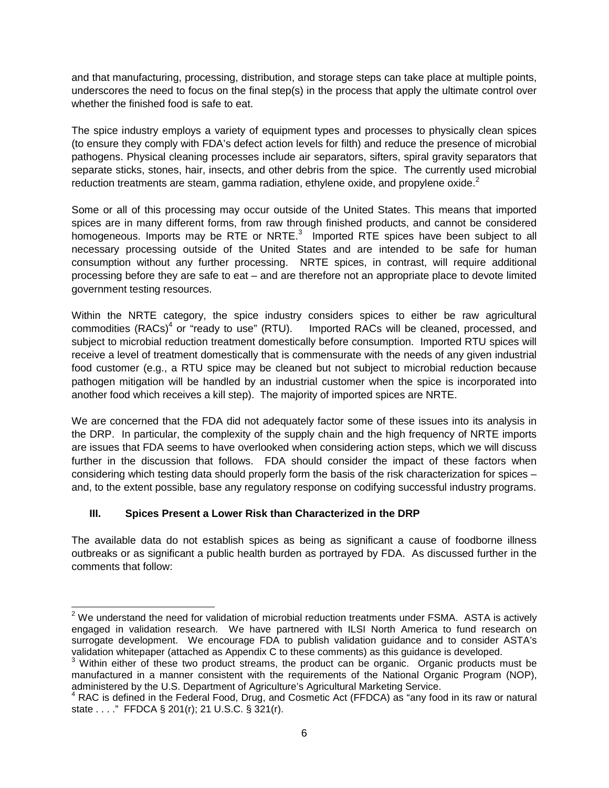and that manufacturing, processing, distribution, and storage steps can take place at multiple points, underscores the need to focus on the final step(s) in the process that apply the ultimate control over whether the finished food is safe to eat.

The spice industry employs a variety of equipment types and processes to physically clean spices (to ensure they comply with FDA's defect action levels for filth) and reduce the presence of microbial pathogens. Physical cleaning processes include air separators, sifters, spiral gravity separators that separate sticks, stones, hair, insects, and other debris from the spice. The currently used microbial reduction treatments are steam, gamma radiation, ethylene oxide, and propylene oxide. $2$ 

Some or all of this processing may occur outside of the United States. This means that imported spices are in many different forms, from raw through finished products, and cannot be considered homogeneous. Imports may be RTE or NRTE.<sup>3</sup> Imported RTE spices have been subject to all necessary processing outside of the United States and are intended to be safe for human consumption without any further processing. NRTE spices, in contrast, will require additional processing before they are safe to eat – and are therefore not an appropriate place to devote limited government testing resources.

Within the NRTE category, the spice industry considers spices to either be raw agricultural commodities (RACs)<sup>4</sup> or "ready to use" (RTU). Imported RACs will be cleaned, processed, and subject to microbial reduction treatment domestically before consumption. Imported RTU spices will receive a level of treatment domestically that is commensurate with the needs of any given industrial food customer (e.g., a RTU spice may be cleaned but not subject to microbial reduction because pathogen mitigation will be handled by an industrial customer when the spice is incorporated into another food which receives a kill step). The majority of imported spices are NRTE.

We are concerned that the FDA did not adequately factor some of these issues into its analysis in the DRP. In particular, the complexity of the supply chain and the high frequency of NRTE imports are issues that FDA seems to have overlooked when considering action steps, which we will discuss further in the discussion that follows. FDA should consider the impact of these factors when considering which testing data should properly form the basis of the risk characterization for spices – and, to the extent possible, base any regulatory response on codifying successful industry programs.

# **III. Spices Present a Lower Risk than Characterized in the DRP**

The available data do not establish spices as being as significant a cause of foodborne illness outbreaks or as significant a public health burden as portrayed by FDA. As discussed further in the comments that follow:

 $2$  We understand the need for validation of microbial reduction treatments under FSMA. ASTA is actively engaged in validation research. We have partnered with ILSI North America to fund research on surrogate development. We encourage FDA to publish validation guidance and to consider ASTA's validation whitepaper (attached as Appendix C to these comments) as this guidance is developed.

<sup>&</sup>lt;sup>3</sup> Within either of these two product streams, the product can be organic. Organic products must be manufactured in a manner consistent with the requirements of the National Organic Program (NOP), administered by the U.S. Department of Agriculture's Agricultural Marketing Service.

 $4$  RAC is defined in the Federal Food, Drug, and Cosmetic Act (FFDCA) as "any food in its raw or natural state . . . ." FFDCA § 201(r); 21 U.S.C. § 321(r).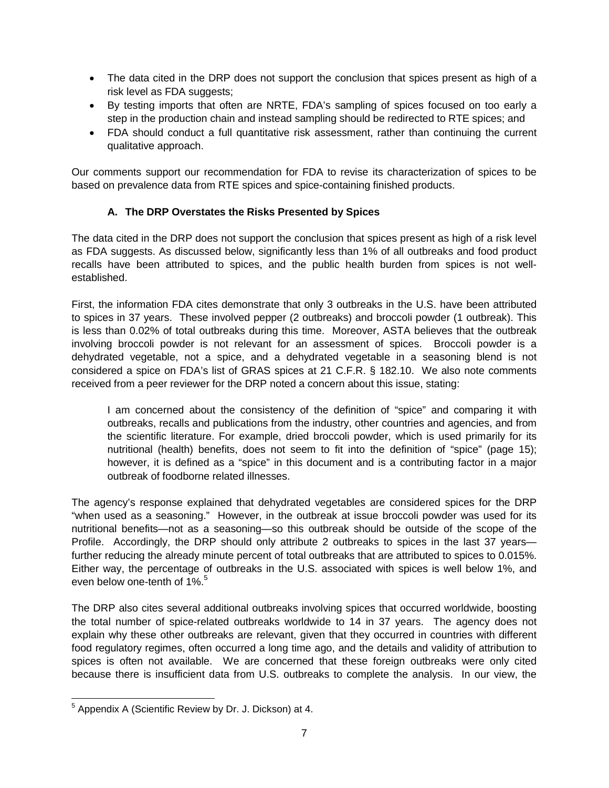- The data cited in the DRP does not support the conclusion that spices present as high of a risk level as FDA suggests;
- By testing imports that often are NRTE, FDA's sampling of spices focused on too early a step in the production chain and instead sampling should be redirected to RTE spices; and
- FDA should conduct a full quantitative risk assessment, rather than continuing the current qualitative approach.

Our comments support our recommendation for FDA to revise its characterization of spices to be based on prevalence data from RTE spices and spice-containing finished products.

## **A. The DRP Overstates the Risks Presented by Spices**

The data cited in the DRP does not support the conclusion that spices present as high of a risk level as FDA suggests. As discussed below, significantly less than 1% of all outbreaks and food product recalls have been attributed to spices, and the public health burden from spices is not wellestablished.

First, the information FDA cites demonstrate that only 3 outbreaks in the U.S. have been attributed to spices in 37 years. These involved pepper (2 outbreaks) and broccoli powder (1 outbreak). This is less than 0.02% of total outbreaks during this time. Moreover, ASTA believes that the outbreak involving broccoli powder is not relevant for an assessment of spices. Broccoli powder is a dehydrated vegetable, not a spice, and a dehydrated vegetable in a seasoning blend is not considered a spice on FDA's list of GRAS spices at 21 C.F.R. § 182.10. We also note comments received from a peer reviewer for the DRP noted a concern about this issue, stating:

I am concerned about the consistency of the definition of "spice" and comparing it with outbreaks, recalls and publications from the industry, other countries and agencies, and from the scientific literature. For example, dried broccoli powder, which is used primarily for its nutritional (health) benefits, does not seem to fit into the definition of "spice" (page 15); however, it is defined as a "spice" in this document and is a contributing factor in a major outbreak of foodborne related illnesses.

The agency's response explained that dehydrated vegetables are considered spices for the DRP "when used as a seasoning." However, in the outbreak at issue broccoli powder was used for its nutritional benefits—not as a seasoning—so this outbreak should be outside of the scope of the Profile. Accordingly, the DRP should only attribute 2 outbreaks to spices in the last 37 years further reducing the already minute percent of total outbreaks that are attributed to spices to 0.015%. Either way, the percentage of outbreaks in the U.S. associated with spices is well below 1%, and even below one-tenth of  $1\%$ <sup>5</sup>

The DRP also cites several additional outbreaks involving spices that occurred worldwide, boosting the total number of spice-related outbreaks worldwide to 14 in 37 years. The agency does not explain why these other outbreaks are relevant, given that they occurred in countries with different food regulatory regimes, often occurred a long time ago, and the details and validity of attribution to spices is often not available. We are concerned that these foreign outbreaks were only cited because there is insufficient data from U.S. outbreaks to complete the analysis. In our view, the

<sup>&</sup>lt;sup>5</sup> Appendix A (Scientific Review by Dr. J. Dickson) at 4.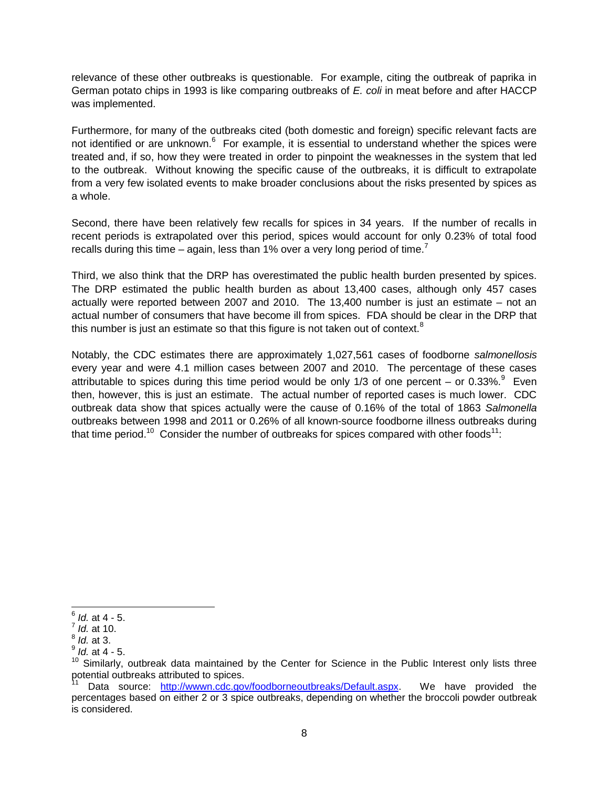relevance of these other outbreaks is questionable. For example, citing the outbreak of paprika in German potato chips in 1993 is like comparing outbreaks of *E. coli* in meat before and after HACCP was implemented.

Furthermore, for many of the outbreaks cited (both domestic and foreign) specific relevant facts are not identified or are unknown.<sup>6</sup> For example, it is essential to understand whether the spices were treated and, if so, how they were treated in order to pinpoint the weaknesses in the system that led to the outbreak. Without knowing the specific cause of the outbreaks, it is difficult to extrapolate from a very few isolated events to make broader conclusions about the risks presented by spices as a whole.

Second, there have been relatively few recalls for spices in 34 years. If the number of recalls in recent periods is extrapolated over this period, spices would account for only 0.23% of total food recalls during this time – again, less than 1% over a very long period of time.<sup>7</sup>

Third, we also think that the DRP has overestimated the public health burden presented by spices. The DRP estimated the public health burden as about 13,400 cases, although only 457 cases actually were reported between 2007 and 2010. The 13,400 number is just an estimate – not an actual number of consumers that have become ill from spices. FDA should be clear in the DRP that this number is just an estimate so that this figure is not taken out of context. $8$ 

Notably, the CDC estimates there are approximately 1,027,561 cases of foodborne *salmonellosis* every year and were 4.1 million cases between 2007 and 2010. The percentage of these cases attributable to spices during this time period would be only 1/3 of one percent – or 0.33%. $9$  Even then, however, this is just an estimate. The actual number of reported cases is much lower. CDC outbreak data show that spices actually were the cause of 0.16% of the total of 1863 *Salmonella* outbreaks between 1998 and 2011 or 0.26% of all known-source foodborne illness outbreaks during that time period.<sup>10</sup> Consider the number of outbreaks for spices compared with other foods<sup>11</sup>:

<sup>6</sup> *Id.* at 4 - 5.

<sup>7</sup> *Id.* at 10.

<sup>8</sup> *Id.* at 3.

<sup>9</sup> *Id.* at 4 - 5.

 $10$  Similarly, outbreak data maintained by the Center for Science in the Public Interest only lists three potential outbreaks attributed to spices.

Data source: http://wwwn.cdc.gov/foodborneoutbreaks/Default.aspx. We have provided the percentages based on either 2 or 3 spice outbreaks, depending on whether the broccoli powder outbreak is considered.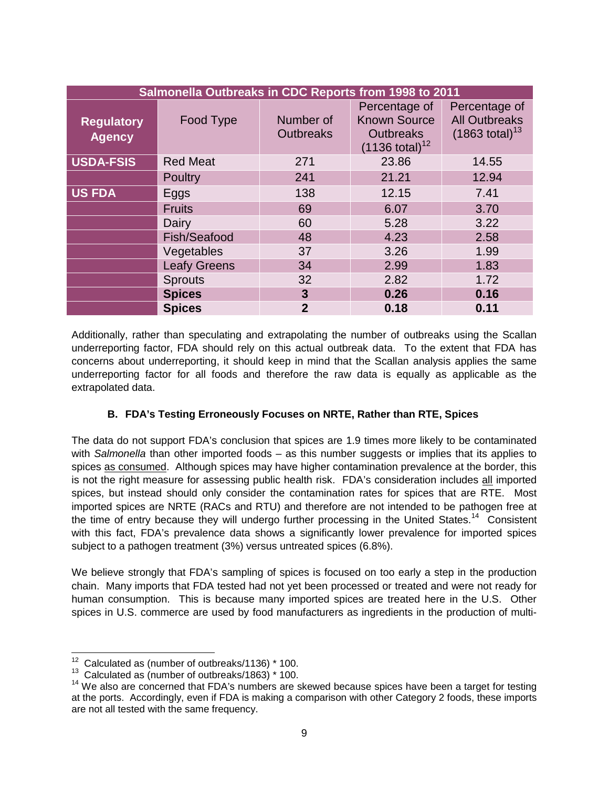| Salmonella Outbreaks in CDC Reports from 1998 to 2011 |                     |                               |                                                                                         |                                                                      |
|-------------------------------------------------------|---------------------|-------------------------------|-----------------------------------------------------------------------------------------|----------------------------------------------------------------------|
| <b>Regulatory</b><br><b>Agency</b>                    | Food Type           | Number of<br><b>Outbreaks</b> | Percentage of<br><b>Known Source</b><br><b>Outbreaks</b><br>$(1136 \text{ total})^{12}$ | Percentage of<br><b>All Outbreaks</b><br>$(1863 \text{ total})^{13}$ |
| <b>USDA-FSIS</b>                                      | <b>Red Meat</b>     | 271                           | 23.86                                                                                   | 14.55                                                                |
|                                                       | <b>Poultry</b>      | 241                           | 21.21                                                                                   | 12.94                                                                |
| <b>US FDA</b>                                         | Eggs                | 138                           | 12.15                                                                                   | 7.41                                                                 |
|                                                       | <b>Fruits</b>       | 69                            | 6.07                                                                                    | 3.70                                                                 |
|                                                       | Dairy               | 60                            | 5.28                                                                                    | 3.22                                                                 |
|                                                       | Fish/Seafood        | 48                            | 4.23                                                                                    | 2.58                                                                 |
|                                                       | Vegetables          | 37                            | 3.26                                                                                    | 1.99                                                                 |
|                                                       | <b>Leafy Greens</b> | 34                            | 2.99                                                                                    | 1.83                                                                 |
|                                                       | <b>Sprouts</b>      | 32                            | 2.82                                                                                    | 1.72                                                                 |
|                                                       | <b>Spices</b>       | $\mathbf{3}$                  | 0.26                                                                                    | 0.16                                                                 |
|                                                       | <b>Spices</b>       | $\overline{2}$                | 0.18                                                                                    | 0.11                                                                 |

Additionally, rather than speculating and extrapolating the number of outbreaks using the Scallan underreporting factor, FDA should rely on this actual outbreak data. To the extent that FDA has concerns about underreporting, it should keep in mind that the Scallan analysis applies the same underreporting factor for all foods and therefore the raw data is equally as applicable as the extrapolated data.

### **B. FDA's Testing Erroneously Focuses on NRTE, Rather than RTE, Spices**

The data do not support FDA's conclusion that spices are 1.9 times more likely to be contaminated with *Salmonella* than other imported foods – as this number suggests or implies that its applies to spices as consumed. Although spices may have higher contamination prevalence at the border, this is not the right measure for assessing public health risk. FDA's consideration includes all imported spices, but instead should only consider the contamination rates for spices that are RTE. Most imported spices are NRTE (RACs and RTU) and therefore are not intended to be pathogen free at the time of entry because they will undergo further processing in the United States.<sup>14</sup> Consistent with this fact, FDA's prevalence data shows a significantly lower prevalence for imported spices subject to a pathogen treatment (3%) versus untreated spices (6.8%).

We believe strongly that FDA's sampling of spices is focused on too early a step in the production chain. Many imports that FDA tested had not yet been processed or treated and were not ready for human consumption. This is because many imported spices are treated here in the U.S. Other spices in U.S. commerce are used by food manufacturers as ingredients in the production of multi-

 $12$  Calculated as (number of outbreaks/1136)  $*$  100.

<sup>13</sup> Calculated as (number of outbreaks/1863) \* 100.

 $14$  We also are concerned that FDA's numbers are skewed because spices have been a target for testing at the ports. Accordingly, even if FDA is making a comparison with other Category 2 foods, these imports are not all tested with the same frequency.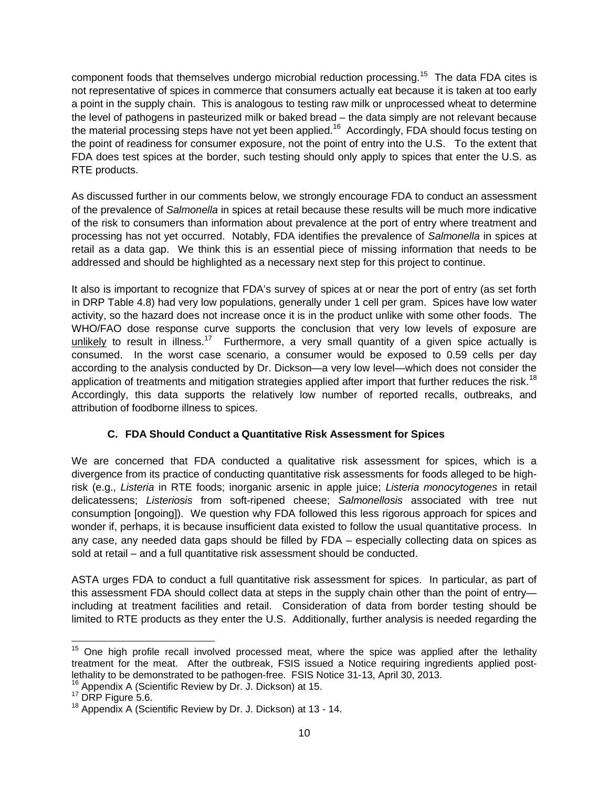component foods that themselves undergo microbial reduction processing.<sup>15</sup> The data FDA cites is not representative of spices in commerce that consumers actually eat because it is taken at too early a point in the supply chain. This is analogous to testing raw milk or unprocessed wheat to determine the level of pathogens in pasteurized milk or baked bread – the data simply are not relevant because the material processing steps have not yet been applied.<sup>16</sup> Accordingly, FDA should focus testing on the point of readiness for consumer exposure, not the point of entry into the U.S. To the extent that FDA does test spices at the border, such testing should only apply to spices that enter the U.S. as RTE products.

As discussed further in our comments below, we strongly encourage FDA to conduct an assessment of the prevalence of *Salmonella* in spices at retail because these results will be much more indicative of the risk to consumers than information about prevalence at the port of entry where treatment and processing has not yet occurred. Notably, FDA identifies the prevalence of *Salmonella* in spices at retail as a data gap. We think this is an essential piece of missing information that needs to be addressed and should be highlighted as a necessary next step for this project to continue.

It also is important to recognize that FDA's survey of spices at or near the port of entry (as set forth in DRP Table 4.8) had very low populations, generally under 1 cell per gram. Spices have low water activity, so the hazard does not increase once it is in the product unlike with some other foods. The WHO/FAO dose response curve supports the conclusion that very low levels of exposure are unlikely to result in illness.<sup>17</sup> Furthermore, a very small quantity of a given spice actually is consumed. In the worst case scenario, a consumer would be exposed to 0.59 cells per day according to the analysis conducted by Dr. Dickson—a very low level—which does not consider the application of treatments and mitigation strategies applied after import that further reduces the risk.<sup>18</sup> Accordingly, this data supports the relatively low number of reported recalls, outbreaks, and attribution of foodborne illness to spices.

# **C. FDA Should Conduct a Quantitative Risk Assessment for Spices**

We are concerned that FDA conducted a qualitative risk assessment for spices, which is a divergence from its practice of conducting quantitative risk assessments for foods alleged to be highrisk (e.g., *Listeria* in RTE foods; inorganic arsenic in apple juice; *Listeria monocytogenes* in retail delicatessens; *Listeriosis* from soft-ripened cheese; *Salmonellosis* associated with tree nut consumption [ongoing]). We question why FDA followed this less rigorous approach for spices and wonder if, perhaps, it is because insufficient data existed to follow the usual quantitative process. In any case, any needed data gaps should be filled by FDA – especially collecting data on spices as sold at retail – and a full quantitative risk assessment should be conducted.

ASTA urges FDA to conduct a full quantitative risk assessment for spices. In particular, as part of this assessment FDA should collect data at steps in the supply chain other than the point of entry including at treatment facilities and retail. Consideration of data from border testing should be limited to RTE products as they enter the U.S. Additionally, further analysis is needed regarding the

 $15$  One high profile recall involved processed meat, where the spice was applied after the lethality treatment for the meat. After the outbreak, FSIS issued a Notice requiring ingredients applied postlethality to be demonstrated to be pathogen-free. FSIS Notice 31-13, April 30, 2013.

<sup>&</sup>lt;sup>16</sup> Appendix A (Scientific Review by Dr. J. Dickson) at 15.

<sup>&</sup>lt;sup>17</sup> DRP Figure 5.6.

<sup>&</sup>lt;sup>18</sup> Appendix A (Scientific Review by Dr. J. Dickson) at 13 - 14.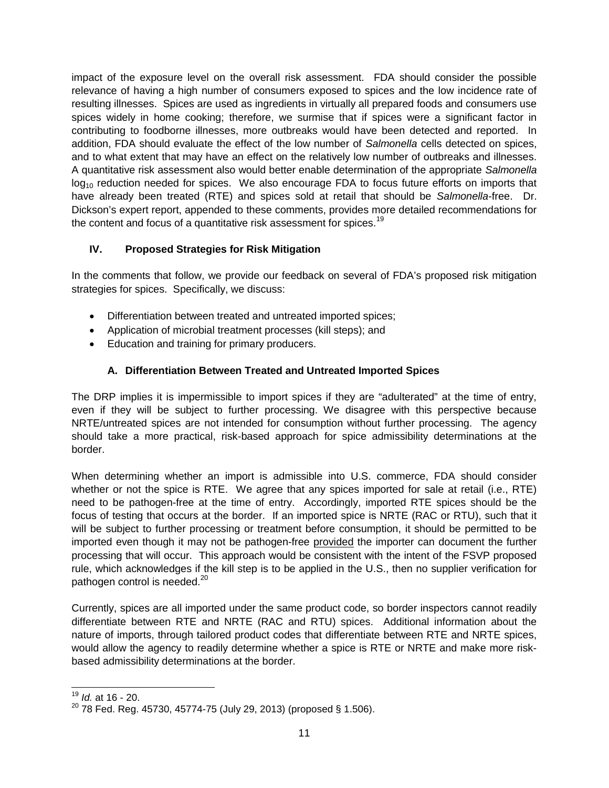impact of the exposure level on the overall risk assessment. FDA should consider the possible relevance of having a high number of consumers exposed to spices and the low incidence rate of resulting illnesses. Spices are used as ingredients in virtually all prepared foods and consumers use spices widely in home cooking; therefore, we surmise that if spices were a significant factor in contributing to foodborne illnesses, more outbreaks would have been detected and reported. In addition, FDA should evaluate the effect of the low number of *Salmonella* cells detected on spices, and to what extent that may have an effect on the relatively low number of outbreaks and illnesses. A quantitative risk assessment also would better enable determination of the appropriate *Salmonella*  $log<sub>10</sub>$  reduction needed for spices. We also encourage FDA to focus future efforts on imports that have already been treated (RTE) and spices sold at retail that should be *Salmonella*-free. Dr. Dickson's expert report, appended to these comments, provides more detailed recommendations for the content and focus of a quantitative risk assessment for spices.<sup>19</sup>

# **IV. Proposed Strategies for Risk Mitigation**

In the comments that follow, we provide our feedback on several of FDA's proposed risk mitigation strategies for spices. Specifically, we discuss:

- Differentiation between treated and untreated imported spices;
- Application of microbial treatment processes (kill steps); and
- Education and training for primary producers.

# **A. Differentiation Between Treated and Untreated Imported Spices**

The DRP implies it is impermissible to import spices if they are "adulterated" at the time of entry, even if they will be subject to further processing. We disagree with this perspective because NRTE/untreated spices are not intended for consumption without further processing. The agency should take a more practical, risk-based approach for spice admissibility determinations at the border.

When determining whether an import is admissible into U.S. commerce, FDA should consider whether or not the spice is RTE. We agree that any spices imported for sale at retail (i.e., RTE) need to be pathogen-free at the time of entry. Accordingly, imported RTE spices should be the focus of testing that occurs at the border. If an imported spice is NRTE (RAC or RTU), such that it will be subject to further processing or treatment before consumption, it should be permitted to be imported even though it may not be pathogen-free provided the importer can document the further processing that will occur. This approach would be consistent with the intent of the FSVP proposed rule, which acknowledges if the kill step is to be applied in the U.S., then no supplier verification for pathogen control is needed.<sup>20</sup>

Currently, spices are all imported under the same product code, so border inspectors cannot readily differentiate between RTE and NRTE (RAC and RTU) spices. Additional information about the nature of imports, through tailored product codes that differentiate between RTE and NRTE spices, would allow the agency to readily determine whether a spice is RTE or NRTE and make more riskbased admissibility determinations at the border.

<sup>19</sup> *Id.* at 16 - 20.

 $20$  78 Fed. Reg. 45730, 45774-75 (July 29, 2013) (proposed § 1.506).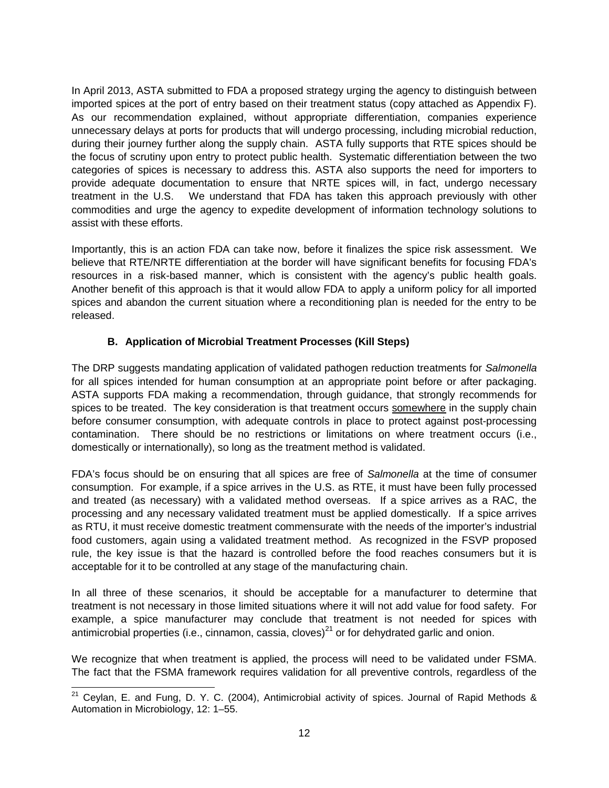In April 2013, ASTA submitted to FDA a proposed strategy urging the agency to distinguish between imported spices at the port of entry based on their treatment status (copy attached as Appendix F). As our recommendation explained, without appropriate differentiation, companies experience unnecessary delays at ports for products that will undergo processing, including microbial reduction, during their journey further along the supply chain. ASTA fully supports that RTE spices should be the focus of scrutiny upon entry to protect public health. Systematic differentiation between the two categories of spices is necessary to address this. ASTA also supports the need for importers to provide adequate documentation to ensure that NRTE spices will, in fact, undergo necessary treatment in the U.S. We understand that FDA has taken this approach previously with other commodities and urge the agency to expedite development of information technology solutions to assist with these efforts.

Importantly, this is an action FDA can take now, before it finalizes the spice risk assessment. We believe that RTE/NRTE differentiation at the border will have significant benefits for focusing FDA's resources in a risk-based manner, which is consistent with the agency's public health goals. Another benefit of this approach is that it would allow FDA to apply a uniform policy for all imported spices and abandon the current situation where a reconditioning plan is needed for the entry to be released.

## **B. Application of Microbial Treatment Processes (Kill Steps)**

The DRP suggests mandating application of validated pathogen reduction treatments for *Salmonella* for all spices intended for human consumption at an appropriate point before or after packaging. ASTA supports FDA making a recommendation, through guidance, that strongly recommends for spices to be treated. The key consideration is that treatment occurs somewhere in the supply chain before consumer consumption, with adequate controls in place to protect against post-processing contamination. There should be no restrictions or limitations on where treatment occurs (i.e., domestically or internationally), so long as the treatment method is validated.

FDA's focus should be on ensuring that all spices are free of *Salmonella* at the time of consumer consumption. For example, if a spice arrives in the U.S. as RTE, it must have been fully processed and treated (as necessary) with a validated method overseas. If a spice arrives as a RAC, the processing and any necessary validated treatment must be applied domestically. If a spice arrives as RTU, it must receive domestic treatment commensurate with the needs of the importer's industrial food customers, again using a validated treatment method. As recognized in the FSVP proposed rule, the key issue is that the hazard is controlled before the food reaches consumers but it is acceptable for it to be controlled at any stage of the manufacturing chain.

In all three of these scenarios, it should be acceptable for a manufacturer to determine that treatment is not necessary in those limited situations where it will not add value for food safety. For example, a spice manufacturer may conclude that treatment is not needed for spices with antimicrobial properties (i.e., cinnamon, cassia, cloves)<sup>21</sup> or for dehydrated garlic and onion.

We recognize that when treatment is applied, the process will need to be validated under FSMA. The fact that the FSMA framework requires validation for all preventive controls, regardless of the

 $21$  Ceylan, E. and Fung, D. Y. C. (2004), Antimicrobial activity of spices. Journal of Rapid Methods & Automation in Microbiology, 12: 1–55.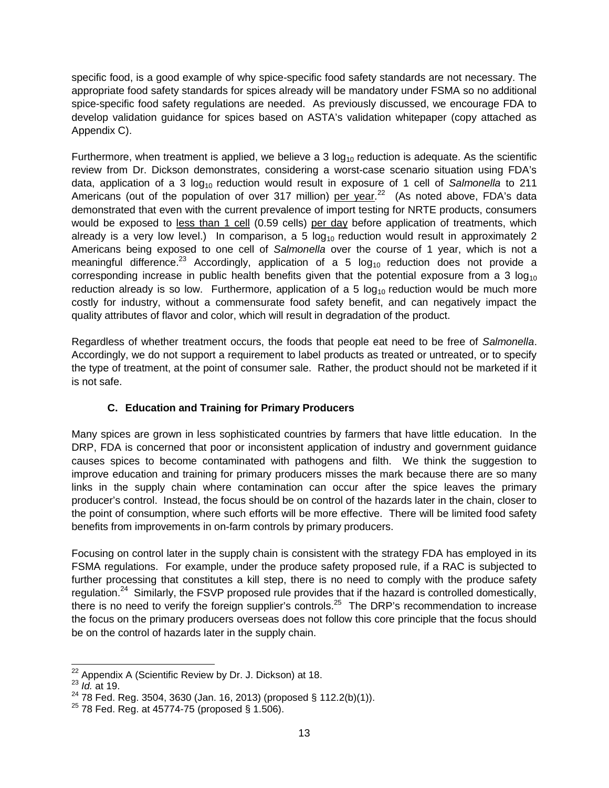specific food, is a good example of why spice-specific food safety standards are not necessary. The appropriate food safety standards for spices already will be mandatory under FSMA so no additional spice-specific food safety regulations are needed. As previously discussed, we encourage FDA to develop validation guidance for spices based on ASTA's validation whitepaper (copy attached as Appendix C).

Furthermore, when treatment is applied, we believe a 3  $log<sub>10</sub>$  reduction is adequate. As the scientific review from Dr. Dickson demonstrates, considering a worst-case scenario situation using FDA's data, application of a 3 log<sub>10</sub> reduction would result in exposure of 1 cell of *Salmonella* to 211 Americans (out of the population of over 317 million) per year.<sup>22</sup> (As noted above, FDA's data demonstrated that even with the current prevalence of import testing for NRTE products, consumers would be exposed to less than 1 cell (0.59 cells) per day before application of treatments, which already is a very low level.) In comparison, a 5  $log<sub>10</sub>$  reduction would result in approximately 2 Americans being exposed to one cell of *Salmonella* over the course of 1 year, which is not a meaningful difference.<sup>23</sup> Accordingly, application of a 5  $log_{10}$  reduction does not provide a corresponding increase in public health benefits given that the potential exposure from a 3  $log_{10}$ reduction already is so low. Furthermore, application of a 5  $log<sub>10</sub>$  reduction would be much more costly for industry, without a commensurate food safety benefit, and can negatively impact the quality attributes of flavor and color, which will result in degradation of the product.

Regardless of whether treatment occurs, the foods that people eat need to be free of *Salmonella*. Accordingly, we do not support a requirement to label products as treated or untreated, or to specify the type of treatment, at the point of consumer sale. Rather, the product should not be marketed if it is not safe.

# **C. Education and Training for Primary Producers**

Many spices are grown in less sophisticated countries by farmers that have little education. In the DRP, FDA is concerned that poor or inconsistent application of industry and government guidance causes spices to become contaminated with pathogens and filth. We think the suggestion to improve education and training for primary producers misses the mark because there are so many links in the supply chain where contamination can occur after the spice leaves the primary producer's control. Instead, the focus should be on control of the hazards later in the chain, closer to the point of consumption, where such efforts will be more effective. There will be limited food safety benefits from improvements in on-farm controls by primary producers.

Focusing on control later in the supply chain is consistent with the strategy FDA has employed in its FSMA regulations. For example, under the produce safety proposed rule, if a RAC is subjected to further processing that constitutes a kill step, there is no need to comply with the produce safety regulation.<sup>24</sup> Similarly, the FSVP proposed rule provides that if the hazard is controlled domestically, there is no need to verify the foreign supplier's controls.<sup>25</sup> The DRP's recommendation to increase the focus on the primary producers overseas does not follow this core principle that the focus should be on the control of hazards later in the supply chain.

<sup>&</sup>lt;sup>22</sup> Appendix A (Scientific Review by Dr. J. Dickson) at 18.

<sup>23</sup> *Id.* at 19.

 $^{24}$  78 Fed. Reg. 3504, 3630 (Jan. 16, 2013) (proposed § 112.2(b)(1)).

 $^{25}$  78 Fed. Reg. at 45774-75 (proposed § 1.506).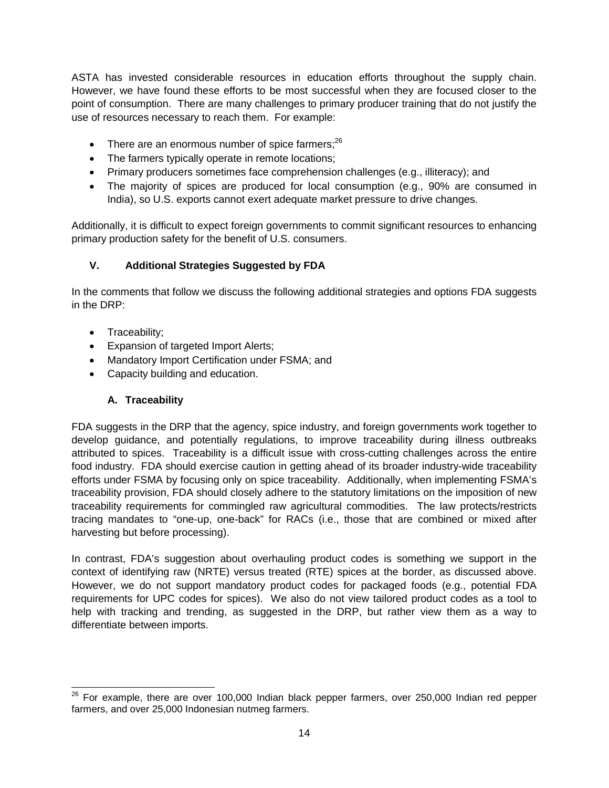ASTA has invested considerable resources in education efforts throughout the supply chain. However, we have found these efforts to be most successful when they are focused closer to the point of consumption. There are many challenges to primary producer training that do not justify the use of resources necessary to reach them. For example:

- There are an enormous number of spice farmers; $^{26}$
- The farmers typically operate in remote locations;
- Primary producers sometimes face comprehension challenges (e.g., illiteracy); and
- The majority of spices are produced for local consumption (e.g., 90% are consumed in India), so U.S. exports cannot exert adequate market pressure to drive changes.

Additionally, it is difficult to expect foreign governments to commit significant resources to enhancing primary production safety for the benefit of U.S. consumers.

# **V. Additional Strategies Suggested by FDA**

In the comments that follow we discuss the following additional strategies and options FDA suggests in the DRP:

- Traceability;
- Expansion of targeted Import Alerts;
- Mandatory Import Certification under FSMA; and
- Capacity building and education.

# **A. Traceability**

FDA suggests in the DRP that the agency, spice industry, and foreign governments work together to develop guidance, and potentially regulations, to improve traceability during illness outbreaks attributed to spices. Traceability is a difficult issue with cross-cutting challenges across the entire food industry. FDA should exercise caution in getting ahead of its broader industry-wide traceability efforts under FSMA by focusing only on spice traceability. Additionally, when implementing FSMA's traceability provision, FDA should closely adhere to the statutory limitations on the imposition of new traceability requirements for commingled raw agricultural commodities. The law protects/restricts tracing mandates to "one-up, one-back" for RACs (i.e., those that are combined or mixed after harvesting but before processing).

In contrast, FDA's suggestion about overhauling product codes is something we support in the context of identifying raw (NRTE) versus treated (RTE) spices at the border, as discussed above. However, we do not support mandatory product codes for packaged foods (e.g., potential FDA requirements for UPC codes for spices). We also do not view tailored product codes as a tool to help with tracking and trending, as suggested in the DRP, but rather view them as a way to differentiate between imports.

<sup>&</sup>lt;sup>26</sup> For example, there are over 100,000 Indian black pepper farmers, over 250,000 Indian red pepper farmers, and over 25,000 Indonesian nutmeg farmers.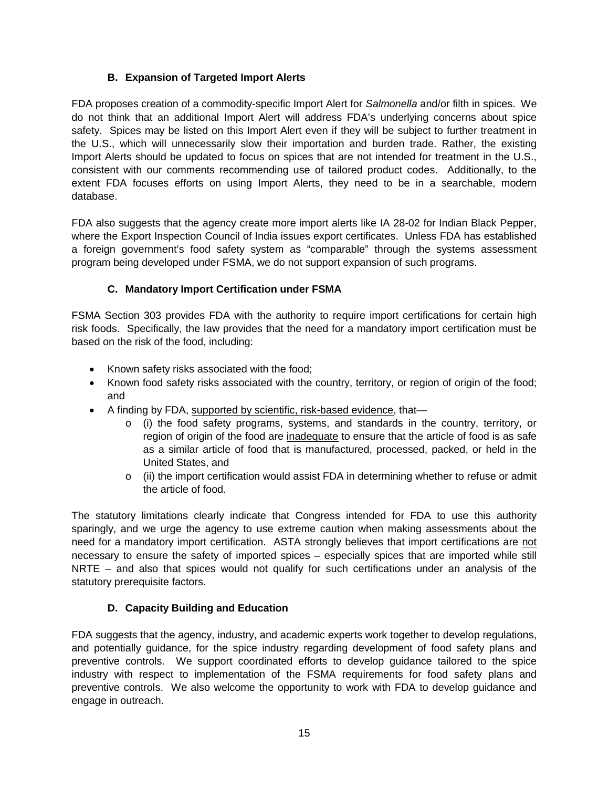## **B. Expansion of Targeted Import Alerts**

FDA proposes creation of a commodity-specific Import Alert for *Salmonella* and/or filth in spices. We do not think that an additional Import Alert will address FDA's underlying concerns about spice safety. Spices may be listed on this Import Alert even if they will be subject to further treatment in the U.S., which will unnecessarily slow their importation and burden trade. Rather, the existing Import Alerts should be updated to focus on spices that are not intended for treatment in the U.S., consistent with our comments recommending use of tailored product codes. Additionally, to the extent FDA focuses efforts on using Import Alerts, they need to be in a searchable, modern database.

FDA also suggests that the agency create more import alerts like IA 28-02 for Indian Black Pepper, where the Export Inspection Council of India issues export certificates. Unless FDA has established a foreign government's food safety system as "comparable" through the systems assessment program being developed under FSMA, we do not support expansion of such programs.

## **C. Mandatory Import Certification under FSMA**

FSMA Section 303 provides FDA with the authority to require import certifications for certain high risk foods. Specifically, the law provides that the need for a mandatory import certification must be based on the risk of the food, including:

- Known safety risks associated with the food;
- Known food safety risks associated with the country, territory, or region of origin of the food; and
- A finding by FDA, supported by scientific, risk-based evidence, that
	- o (i) the food safety programs, systems, and standards in the country, territory, or region of origin of the food are inadequate to ensure that the article of food is as safe as a similar article of food that is manufactured, processed, packed, or held in the United States, and
	- o (ii) the import certification would assist FDA in determining whether to refuse or admit the article of food.

The statutory limitations clearly indicate that Congress intended for FDA to use this authority sparingly, and we urge the agency to use extreme caution when making assessments about the need for a mandatory import certification. ASTA strongly believes that import certifications are not necessary to ensure the safety of imported spices – especially spices that are imported while still NRTE – and also that spices would not qualify for such certifications under an analysis of the statutory prerequisite factors.

### **D. Capacity Building and Education**

FDA suggests that the agency, industry, and academic experts work together to develop regulations, and potentially guidance, for the spice industry regarding development of food safety plans and preventive controls. We support coordinated efforts to develop guidance tailored to the spice industry with respect to implementation of the FSMA requirements for food safety plans and preventive controls. We also welcome the opportunity to work with FDA to develop guidance and engage in outreach.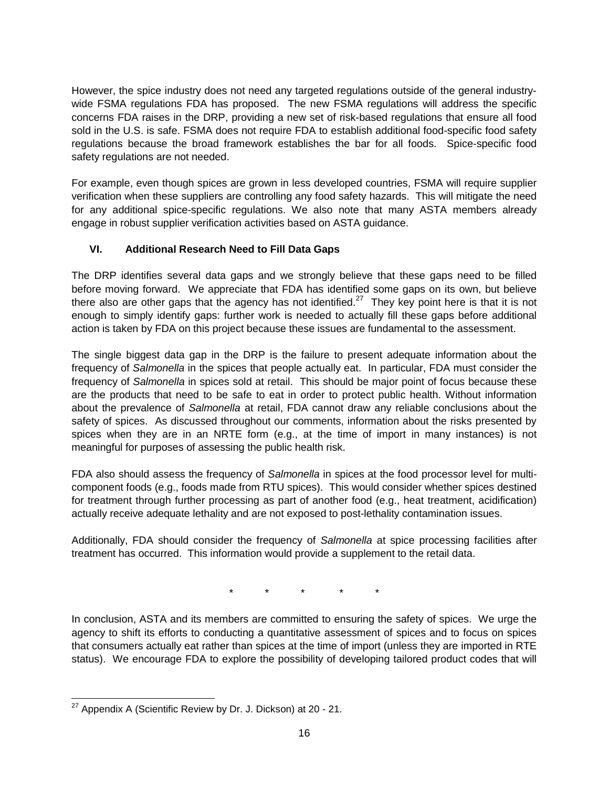However, the spice industry does not need any targeted regulations outside of the general industrywide FSMA regulations FDA has proposed. The new FSMA regulations will address the specific concerns FDA raises in the DRP, providing a new set of risk-based regulations that ensure all food sold in the U.S. is safe. FSMA does not require FDA to establish additional food-specific food safety regulations because the broad framework establishes the bar for all foods. Spice-specific food safety regulations are not needed.

For example, even though spices are grown in less developed countries, FSMA will require supplier verification when these suppliers are controlling any food safety hazards. This will mitigate the need for any additional spice-specific regulations. We also note that many ASTA members already engage in robust supplier verification activities based on ASTA guidance.

# **VI. Additional Research Need to Fill Data Gaps**

The DRP identifies several data gaps and we strongly believe that these gaps need to be filled before moving forward. We appreciate that FDA has identified some gaps on its own, but believe there also are other gaps that the agency has not identified.<sup>27</sup> They key point here is that it is not enough to simply identify gaps: further work is needed to actually fill these gaps before additional action is taken by FDA on this project because these issues are fundamental to the assessment.

The single biggest data gap in the DRP is the failure to present adequate information about the frequency of *Salmonella* in the spices that people actually eat. In particular, FDA must consider the frequency of *Salmonella* in spices sold at retail. This should be major point of focus because these are the products that need to be safe to eat in order to protect public health. Without information about the prevalence of *Salmonella* at retail, FDA cannot draw any reliable conclusions about the safety of spices. As discussed throughout our comments, information about the risks presented by spices when they are in an NRTE form (e.g., at the time of import in many instances) is not meaningful for purposes of assessing the public health risk.

FDA also should assess the frequency of *Salmonella* in spices at the food processor level for multicomponent foods (e.g., foods made from RTU spices). This would consider whether spices destined for treatment through further processing as part of another food (e.g., heat treatment, acidification) actually receive adequate lethality and are not exposed to post-lethality contamination issues.

Additionally, FDA should consider the frequency of *Salmonella* at spice processing facilities after treatment has occurred. This information would provide a supplement to the retail data.

\* \* \* \* \*

In conclusion, ASTA and its members are committed to ensuring the safety of spices. We urge the agency to shift its efforts to conducting a quantitative assessment of spices and to focus on spices that consumers actually eat rather than spices at the time of import (unless they are imported in RTE status). We encourage FDA to explore the possibility of developing tailored product codes that will

 $27$  Appendix A (Scientific Review by Dr. J. Dickson) at 20 - 21.